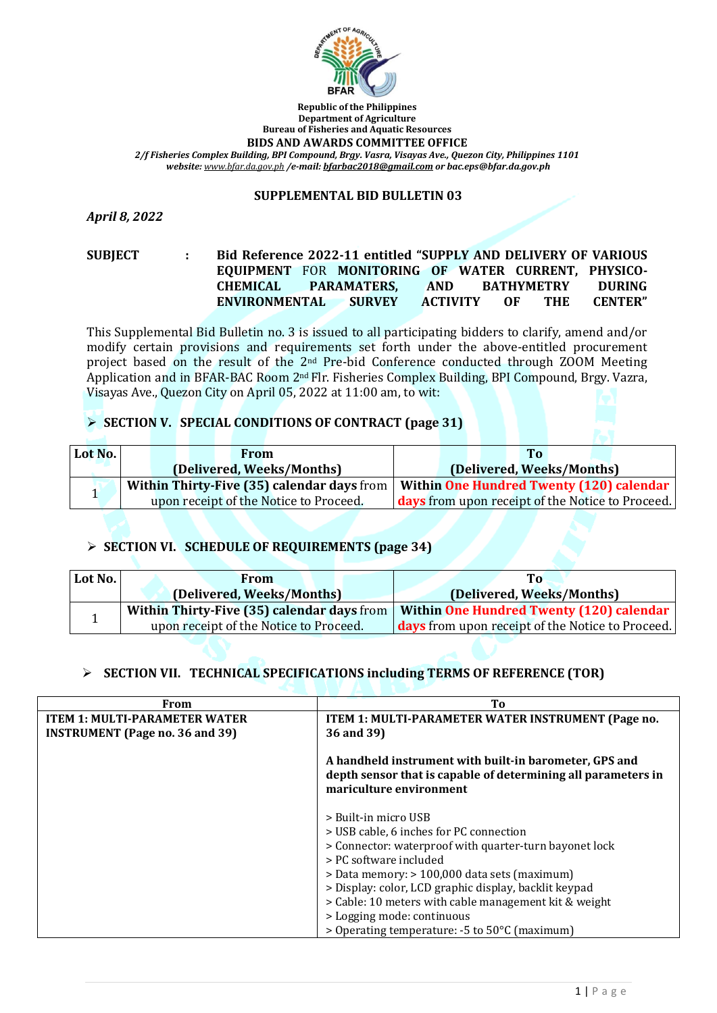

**Republic of the Philippines Department of Agriculture Bureau of Fisheries and Aquatic Resources BIDS AND AWARDS COMMITTEE OFFICE**

*2/f Fisheries Complex Building, BPI Compound, Brgy. Vasra, Visayas Ave., Quezon City, Philippines 1101 website: [www.bfar.da.gov.ph](http://www.bfar.da.gov.ph/) /e-mail[: bfarbac2018@gmail.com](mailto:bfarbac2018@gmail.com) or bac.eps@bfar.da.gov.ph*

#### **SUPPLEMENTAL BID BULLETIN 03**

*April 8, 2022*

**SUBJECT : Bid Reference 2022-11 entitled "SUPPLY AND DELIVERY OF VARIOUS EQUIPMENT** FOR **MONITORING OF WATER CURRENT, PHYSICO-CHEMICAL PARAMATERS, AND BATHYMETRY DURING ENVIRONMENTAL SURVEY ACTIVITY OF THE CENTER"**

This Supplemental Bid Bulletin no. 3 is issued to all participating bidders to clarify, amend and/or modify certain provisions and requirements set forth under the above-entitled procurement project based on the result of the 2<sup>nd</sup> Pre-bid Conference conducted through ZOOM Meeting Application and in BFAR-BAC Room 2nd Flr. Fisheries Complex Building, BPI Compound, Brgy. Vazra, Visayas Ave., Quezon City on April 05, 2022 at 11:00 am, to wit:

## ➢ **SECTION V. SPECIAL CONDITIONS OF CONTRACT (page 31)**

| Lot No. | From                                   | <b>To</b>                                                                             |
|---------|----------------------------------------|---------------------------------------------------------------------------------------|
|         | (Delivered, Weeks/Months)              | (Delivered, Weeks/Months)                                                             |
|         |                                        | Within Thirty-Five (35) calendar days from   Within One Hundred Twenty (120) calendar |
|         | upon receipt of the Notice to Proceed. | <b>days</b> from upon receipt of the Notice to Proceed.                               |

# ➢ **SECTION VI. SCHEDULE OF REQUIREMENTS (page 34)**

| Lot No. | <b>From</b>                                       | To                                                      |
|---------|---------------------------------------------------|---------------------------------------------------------|
|         | (Delivered, Weeks/Months)                         | (Delivered, Weeks/Months)                               |
|         | <b>Within Thirty-Five (35) calendar days from</b> | <b>Within One Hundred Twenty (120) calendar</b>         |
|         | upon receipt of the Notice to Proceed.            | <b>days</b> from upon receipt of the Notice to Proceed. |

## ➢ **SECTION VII. TECHNICAL SPECIFICATIONS including TERMS OF REFERENCE (TOR)**

| From                                   | Tо                                                                                                                                                 |
|----------------------------------------|----------------------------------------------------------------------------------------------------------------------------------------------------|
| <b>ITEM 1: MULTI-PARAMETER WATER</b>   | ITEM 1: MULTI-PARAMETER WATER INSTRUMENT (Page no.                                                                                                 |
| <b>INSTRUMENT</b> (Page no. 36 and 39) | 36 and 39)                                                                                                                                         |
|                                        | A handheld instrument with built-in barometer, GPS and<br>depth sensor that is capable of determining all parameters in<br>mariculture environment |
|                                        | > Built-in micro USB                                                                                                                               |
|                                        | > USB cable, 6 inches for PC connection                                                                                                            |
|                                        | > Connector: waterproof with quarter-turn bayonet lock                                                                                             |
|                                        | > PC software included                                                                                                                             |
|                                        | > Data memory: > 100,000 data sets (maximum)                                                                                                       |
|                                        | > Display: color, LCD graphic display, backlit keypad                                                                                              |
|                                        | > Cable: 10 meters with cable management kit & weight                                                                                              |
|                                        | > Logging mode: continuous                                                                                                                         |
|                                        | > Operating temperature: -5 to 50°C (maximum)                                                                                                      |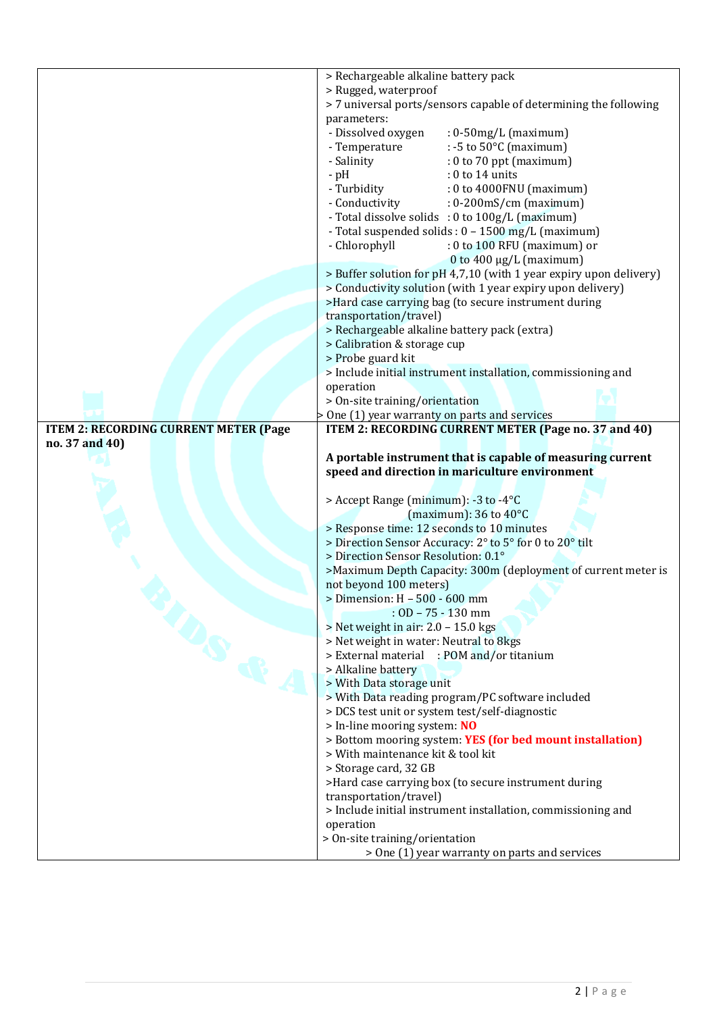|                                              | > Rechargeable alkaline battery pack                                                                         |
|----------------------------------------------|--------------------------------------------------------------------------------------------------------------|
|                                              | > Rugged, waterproof                                                                                         |
|                                              | > 7 universal ports/sensors capable of determining the following                                             |
|                                              | parameters:                                                                                                  |
|                                              | - Dissolved oxygen<br>$: 0.50$ mg/L (maximum)                                                                |
|                                              | : -5 to $50^{\circ}$ C (maximum)<br>- Temperature                                                            |
|                                              | - Salinity<br>$: 0$ to 70 ppt (maximum)                                                                      |
|                                              | : 0 to 14 units<br>$-pH$                                                                                     |
|                                              | - Turbidity<br>: 0 to 4000FNU (maximum)                                                                      |
|                                              | - Conductivity<br>$: 0\n-200 \text{mS/cm}$ (maximum)                                                         |
|                                              |                                                                                                              |
|                                              | - Total dissolve solids : 0 to 100g/L (maximum)                                                              |
|                                              | - Total suspended solids : 0 - 1500 mg/L (maximum)                                                           |
|                                              | - Chlorophyll<br>: 0 to 100 RFU (maximum) or                                                                 |
|                                              | 0 to 400 $\mu$ g/L (maximum)                                                                                 |
|                                              | > Buffer solution for pH 4,7,10 (with 1 year expiry upon delivery)                                           |
|                                              | > Conductivity solution (with 1 year expiry upon delivery)                                                   |
|                                              | >Hard case carrying bag (to secure instrument during                                                         |
|                                              | transportation/travel)                                                                                       |
|                                              | > Rechargeable alkaline battery pack (extra)                                                                 |
|                                              | > Calibration & storage cup                                                                                  |
|                                              | > Probe guard kit                                                                                            |
|                                              | > Include initial instrument installation, commissioning and                                                 |
|                                              | operation                                                                                                    |
|                                              | > On-site training/orientation                                                                               |
|                                              | > One (1) year warranty on parts and services                                                                |
| <b>ITEM 2: RECORDING CURRENT METER (Page</b> | ITEM 2: RECORDING CURRENT METER (Page no. 37 and 40)                                                         |
| no. 37 and 40)                               |                                                                                                              |
|                                              |                                                                                                              |
|                                              |                                                                                                              |
|                                              | A portable instrument that is capable of measuring current<br>speed and direction in mariculture environment |
|                                              |                                                                                                              |
|                                              | > Accept Range (minimum): -3 to -4°C                                                                         |
|                                              | (maximum): $36$ to $40^{\circ}$ C                                                                            |
|                                              |                                                                                                              |
|                                              | > Response time: 12 seconds to 10 minutes<br>> Direction Sensor Accuracy: 2° to 5° for 0 to 20° tilt         |
|                                              | > Direction Sensor Resolution: 0.1°                                                                          |
|                                              | >Maximum Depth Capacity: 300m (deployment of current meter is                                                |
|                                              | not beyond 100 meters)                                                                                       |
|                                              | > Dimension: H - 500 - 600 mm                                                                                |
|                                              | $:$ OD $-75 - 130$ mm                                                                                        |
|                                              | > Net weight in air: 2.0 - 15.0 kgs                                                                          |
|                                              |                                                                                                              |
|                                              | > Net weight in water: Neutral to 8kgs                                                                       |
|                                              | > External material : POM and/or titanium                                                                    |
|                                              | > Alkaline battery                                                                                           |
| $\Phi$                                       | > With Data storage unit                                                                                     |
|                                              | > With Data reading program/PC software included                                                             |
|                                              | > DCS test unit or system test/self-diagnostic                                                               |
|                                              | > In-line mooring system: NO                                                                                 |
|                                              | > Bottom mooring system: YES (for bed mount installation)                                                    |
|                                              | > With maintenance kit & tool kit                                                                            |
|                                              | > Storage card, 32 GB                                                                                        |
|                                              | >Hard case carrying box (to secure instrument during                                                         |
|                                              | transportation/travel)                                                                                       |
|                                              | > Include initial instrument installation, commissioning and                                                 |
|                                              | operation                                                                                                    |
|                                              | > On-site training/orientation<br>> One (1) year warranty on parts and services                              |